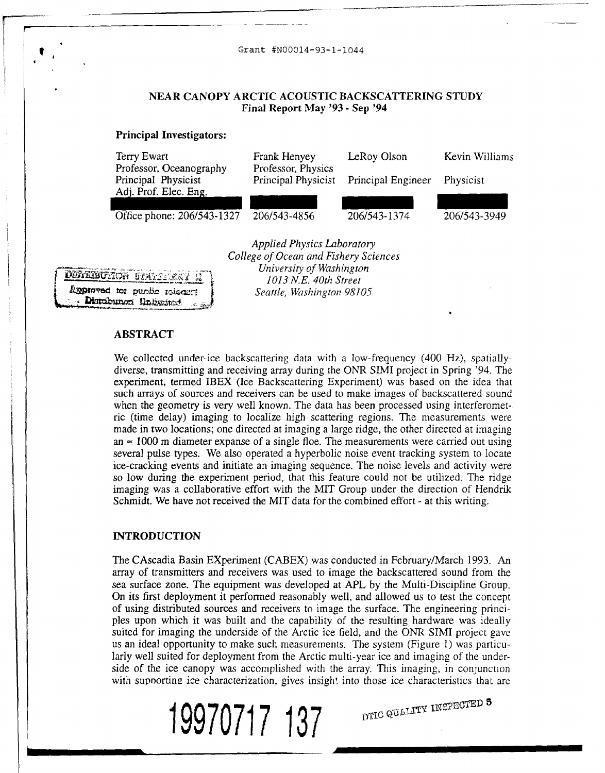

### **ABSTRACT**

We collected under-ice backscattering data with a low-frequency (400 Hz), spatiallydiverse, transmitting and receiving array during the ONR SIMI project in Spring '94. The experiment, termed IBEX (Ice Backscattering Experiment) was based on the idea that such arrays of sources and receivers can be used to make images of backscattered sound when the geometry is very well known. The data has been processed using interferomet**ric** (time delay) imaging to localize high scattering regions. The measurements were made in two locations; one directed at imaging a large ridge, the other directed at imaging an  $\approx$  1000 m diameter expanse of a single floe. The measurements were carried out using several pulse types. We also operated a hyperbolic noise event tracking system to locate ice-cracking events and initiate an imaging sequence. The noise levels and activity were so low during the experiment period, that this feature could not be utilized. The ridge imaging was a collaborative effort with the MIT Group under the direction of Hendrik Schmidt. We have not received the MIT data for the combined effort - at this writing.

#### **INTRODUCTION**

The CAscadia Basin EXperiment (CABEX) was conducted in February/March 1993. An array of transmitters and receivers was used to image the backscattered sound from the sea surface zone. The equipment was developed at APL by the Multi-Discipline Group. On its first deployment it performed reasonably well, and allowed us to test the concept of using distributed sources and receivers to image the surface. The engineering principles upon which it was built and the capability of the resulting hardware was ideally suited for imaging the underside of the Arctic ice field, and the ONR SIMI project gave us an ideal opportunity to make such measurements. The system (Figure 1) was particularly well suited for deployment from the Arctic multi-year ice and imaging of the underside of the ice canopy was accomplished with the array. This imaging, in conjunction with supnorting ice characterization, gives insight into those ice characteristics that are

DTIC QUALITY INSPECTED **3** 

**19970717 137**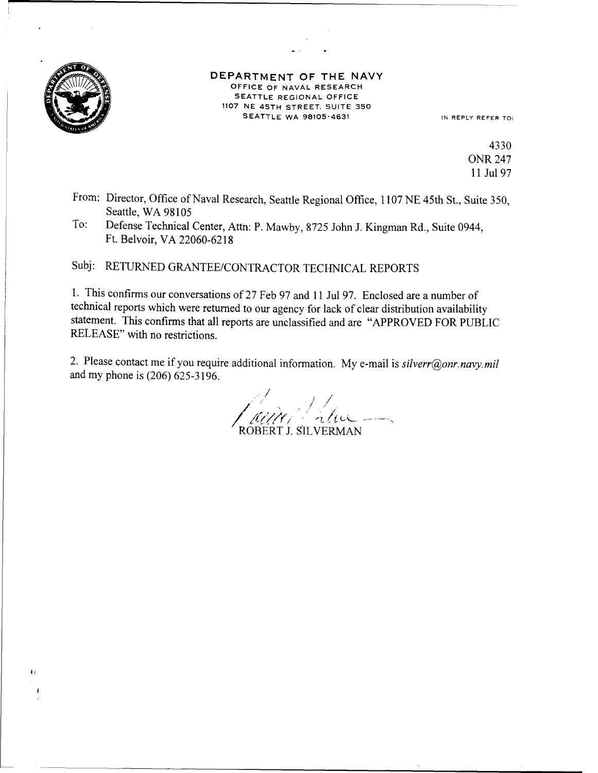

 $\ddot{\bullet}$ 

## **DEPARTMENT** OF **THE NAVY OFFICE OF NAVAL RESEARCH SEATTLE REGIONAL RESEARCH<br>SEATTLE REGIONAL OFFICE 1107 NE 45TH STREET, SUITE 350 SEATTLE WA 98105-4631 IN REPLY REFER TO:**

4330 ONR 247 **11** Jul **97**

- From: Director, Office of Naval Research, Seattle Regional Office, 1107 NE 45th St., Suite 350, Seattle, WA 98105
- To: Defense Technical Center, Attn: P. Mawby, 8725 John J. Kingman Rd., Suite 0944, Ft. Belvoir, VA 22060-6218

Subj: RETURNED GRANTEE/CONTRACTOR TECHNICAL REPORTS

1. This confirms our conversations of 27 Feb 97 and 11 Jul 97. Enclosed are a number of technical reports which were returned to our agency for lack of clear distribution availability statement. This confirms that all reports are unclassified and are "APPROVED FOR PUBLIC RELEASE" with no restrictions.

2. Please contact me if you require additional information. My e-mail is *silverr@onr.navy.mil* and my phone is (206) 625-3196.

ROBERT **J.** SILVERMAN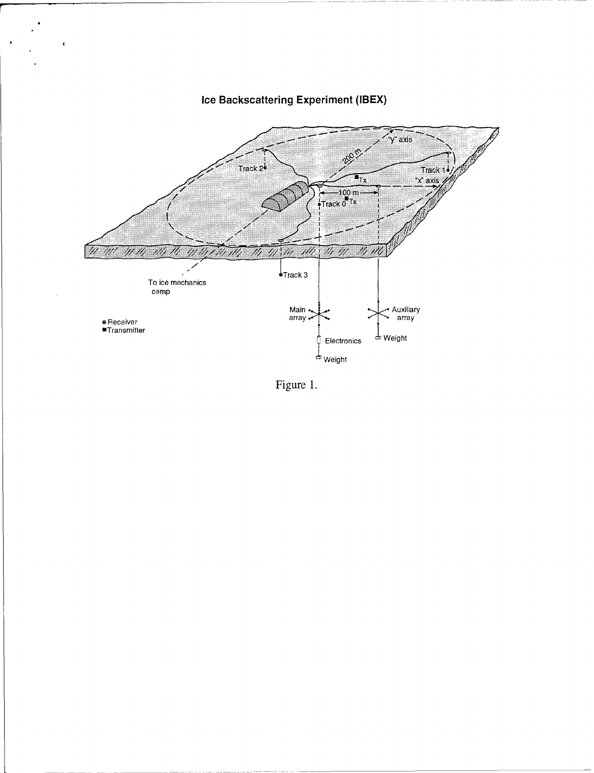

# **Ice Backscattering Experiment (IBEX)**

 $\pmb{\ast}$ 

Figure **1.**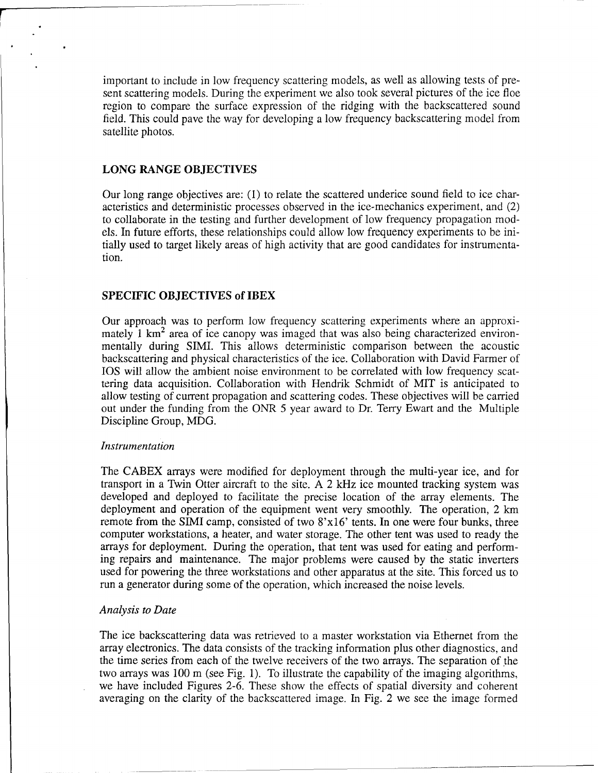important to include in low frequency scattering models, as well as allowing tests of present scattering models. During the experiment we also took several pictures of the ice floe region to compare the surface expression of the ridging with the backscattered sound field. This could pave the way for developing a low frequency backscattering model from satellite photos.

#### **LONG RANGE OBJECTIVES**

Our long range objectives are: **(1)** to relate the scattered underice sound field to ice characteristics and deterministic processes observed in the ice-mechanics experiment, and (2) to collaborate in the testing and further development of low frequency propagation models. In future efforts, these relationships could allow low frequency experiments to be initially used to target likely areas of high activity that are good candidates for instrumentation.

#### **SPECIFIC OBJECTIVES of IBEX**

Our approach was to perform low frequency scattering experiments where an approximately 1  $km<sup>2</sup>$  area of ice canopy was imaged that was also being characterized environmentally during SIMI. This allows deterministic comparison between the acoustic backscattering and physical characteristics of the ice. Collaboration with David Farmer of **IOS** will allow the ambient noise environment to be correlated with low frequency scattering data acquisition. Collaboration with Hendrik Schmidt of MIT is anticipated to allow testing of current propagation and scattering codes. These objectives will be carried out under the funding from the ONR 5 year award to Dr. Terry Ewart and the Multiple Discipline Group, MDG.

#### *Instrumentation*

The CABEX arrays were modified for deployment through the multi-year ice, and for transport in a Twin Otter aircraft to the site. A 2 kHz ice mounted tracking system was developed and deployed to facilitate the precise location of the array elements. The deployment and operation of the equipment went very smoothly. The operation, 2 km remote from the SIMI camp, consisted of two 8'x16' tents. In one were four bunks, three computer workstations, a heater, and water storage. The other tent was used to ready the arrays for deployment. During the operation, that tent was used for eating and performing repairs and maintenance. The major problems were caused by the static inverters used for powering the three workstations and other apparatus at the site. This forced us to run a generator during some of the operation, which increased the noise levels.

#### *Analysis to Date*

The ice backscattering data was retrieved to a master workstation via Ethernet from the array electronics. The data consists of the tracking information plus other diagnostics, and the time series from each of the twelve receivers of the two arrays. The separation of the two arrays was 100 m (see Fig. 1). To illustrate the capability of the imaging algorithms, we have included Figures 2-6. These show the effects of spatial diversity and coherent averaging on the clarity of the backscattered image. In Fig. 2 we see the image formed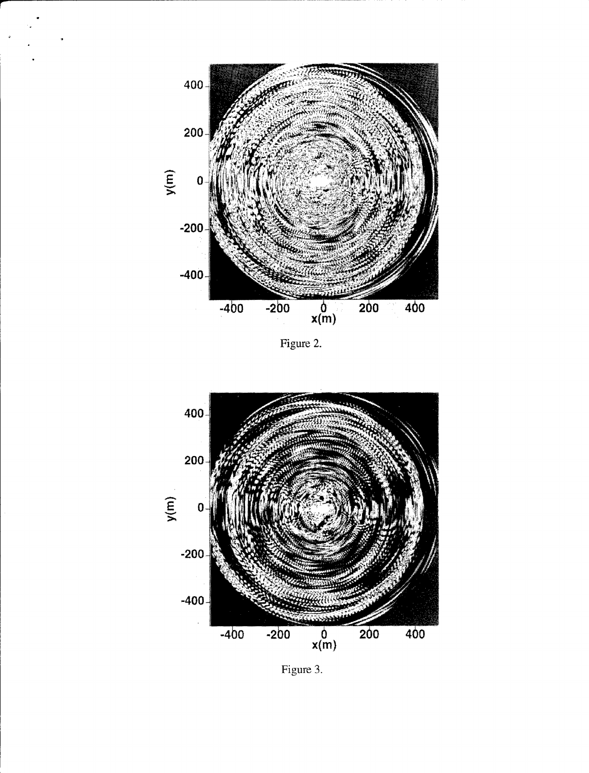

Figure 2.



Figure **3.**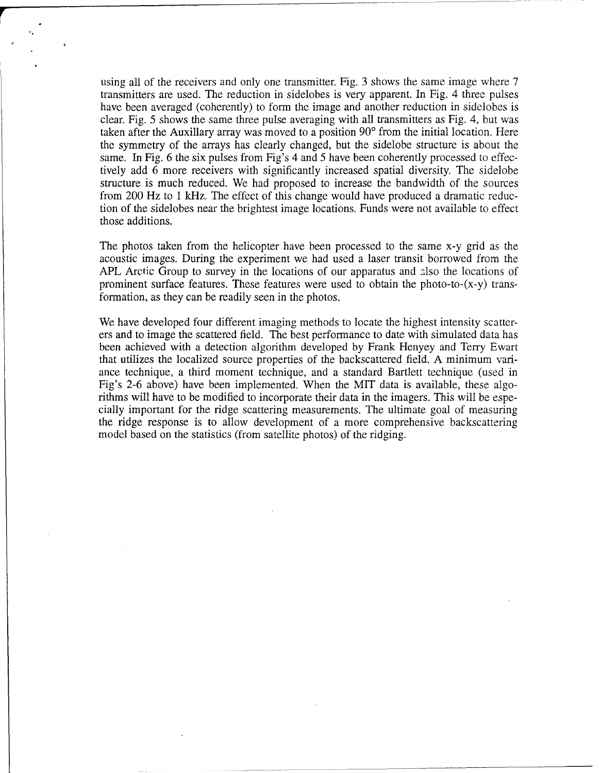using all of the receivers and only one transmitter. Fig. 3 shows the same image where 7 transmitters are used. The reduction in sidelobes is very apparent. In Fig. 4 three pulses have been averaged (coherently) to form the image and another reduction in sidelobes is clear. Fig. 5 shows the same three pulse averaging with all transmitters as Fig. 4, but was taken after the Auxillary array was moved to a position 90<sup>°</sup> from the initial location. Here the symmetry of the arrays has clearly changed, but the sidelobe structure is about the same. In Fig. 6 the six pulses from Fig's 4 and 5 have been coherently processed to effectively add 6 more receivers with significantly increased spatial diversity. The sidelobe structure is much reduced. We had proposed to increase the bandwidth of the sources from 200 Hz to 1 kHz. The effect of this change would have produced a dramatic reduction of the sidelobes near the brightest image locations. Funds were not available to effect those additions.

The photos taken from the helicopter have been processed to the same x-y grid as the acoustic images. During the experiment we had used a laser transit borrowed from the APL Arctic Group to survey in the locations of our apparatus and also the locations of prominent surface features. These features were used to obtain the photo-to-(x-y) transformation, as they can be readily seen in the photos.

We have developed four different imaging methods to locate the highest intensity scatterers and to image the scattered field. The best performance to date with simulated data has been achieved with a detection algorithm developed by Frank Henyey and Terry Ewart that utilizes the localized source properties of the backscattered field. A minimum variance technique, a third moment technique, and a standard Bartlett technique (used in Fig's 2-6 above) have been implemented. When the MIT data is available, these algorithms will have to be modified to incorporate their data in the imagers. This will be especially important for the ridge scattering measurements. The ultimate goal of measuring the ridge response is to allow development of a more comprehensive backscattering model based on the statistics (from satellite photos) of the ridging.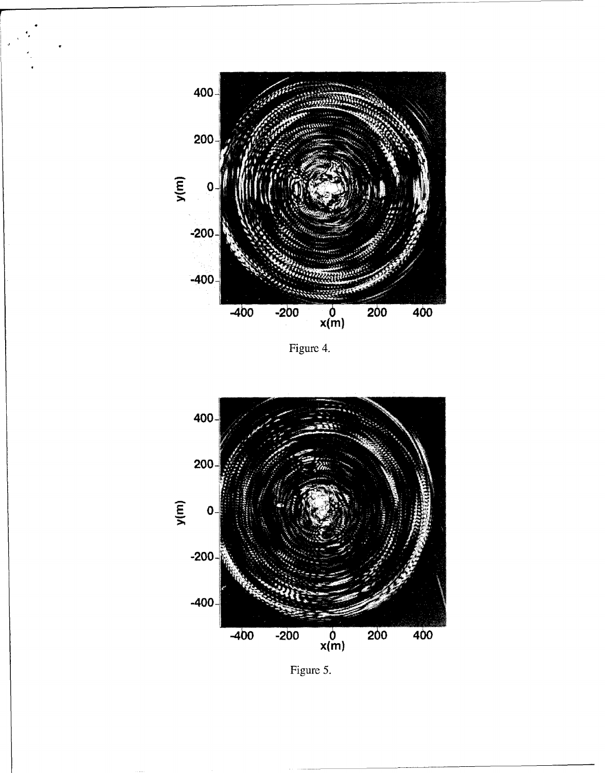

Figure 4.



Figure 5.